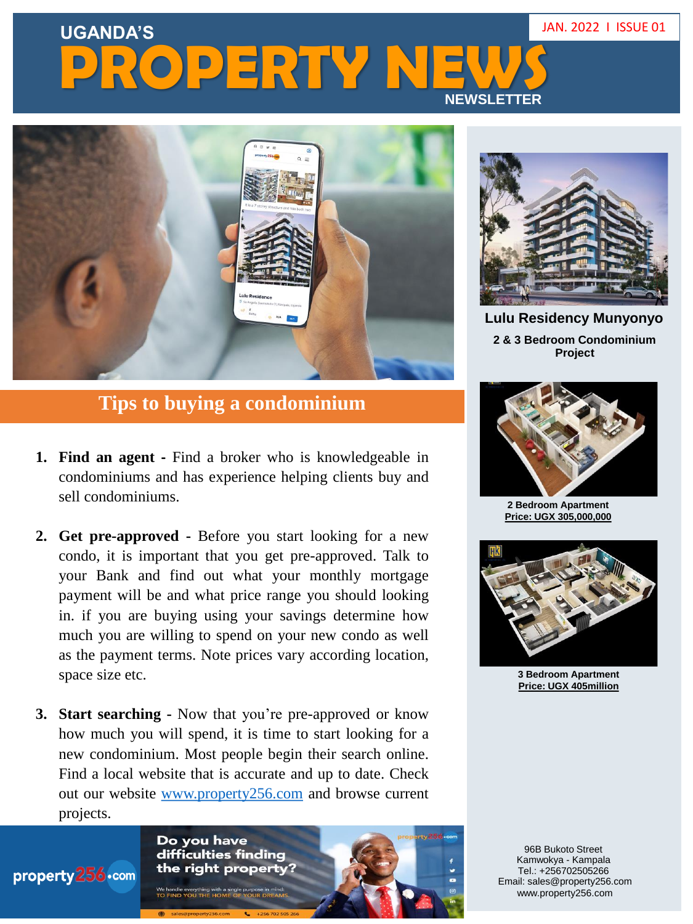## **UGANDA'S** JAN. 2022 I ISSUE 01 **PROPERTY NE NEWSLETTER**



## **Tips to buying a condominium**

- **1. Find an agent -** Find a broker who is knowledgeable in condominiums and has experience helping clients buy and sell condominiums.
- **2. Get pre-approved -** Before you start looking for a new condo, it is important that you get pre-approved. Talk to your Bank and find out what your monthly mortgage payment will be and what price range you should looking in. if you are buying using your savings determine how much you are willing to spend on your new condo as well as the payment terms. Note prices vary according location, space size etc.
- **3. Start searching -** Now that you're pre-approved or know how much you will spend, it is time to start looking for a new condominium. Most people begin their search online. Find a local website that is accurate and up to date. Check out our website [www.property256.com](http://www.property256.com/) and browse current projects.

Do you have difficulties finding the right property?

We handle everything with a single purpose in mir<br>TO FIND YOU THE HOME OF YOUR DREA

property 256.com



**Lulu Residency Munyonyo 2 & 3 Bedroom Condominium Project**



**2 Bedroom Apartment Price: UGX 305,000,000**



**3 Bedroom Apartment Price: UGX 405million**

96B Bukoto Street Kamwokya - Kampala www.property256.com Email: sales@property256.com Tel.: +256702505266